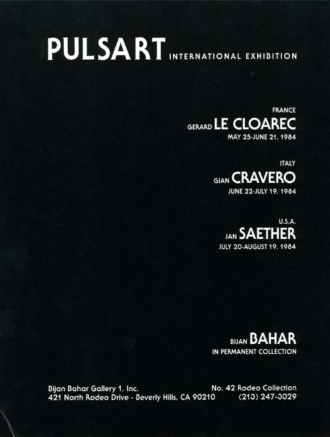## PULSART INTERNATIONAL EXHIBITION

**FRANCE GERARD LE CLOAREC** MAY 25-JUNE 21, 1984

> **ITALY GIAN CRAVERO** JUNE 22-JULY 19, 1984



**BIJAN BAHAR** IN PERMANENT COLLECTION

No. 42 Rodeo Collection Bijan Bahar Gallery 1, Inc. 421 North Rodeo Drive - Beverly Hills, CA 90210 (213) 247-3029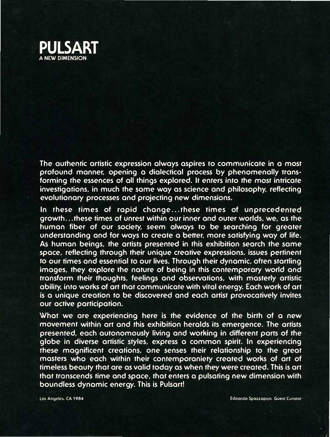

**The authentic artistic expression always aspires to communicate in a most profound manner, opening a dialectical process by phenomenally transforming the** *essences* **of all things explored. It** *enters* **into the most intricate investigations, in much the same way as science and philosophy, reflecting evolutionary processes and projecting** *new* **dimensions.** 

**In** *these* **times of rapid change ...** *these* **times of** *unprecedented*  **growth ...** *these* **times of unrest within our inner and** *outer* **worlds,** *we,* **as the human fiber of our society,** *seem* **always to be searching for greater understanding and for ways to create a** *better, more* **satisfying way of life. As human beings, the artists** *presented* **in this exhibition search the same space, reflecting through their unique creative expressions, issues pertinent to our times and essential to our lives. Through their dynamic, often startling images, they explore the nature of being in this contemporary world and transform their thoughts, feelings and observations, with masterly artistic ability, into works of art that communicate with vital** *energy.* **Each work of art is a unique creation to be discovered and each artist provocatively invites our active participation.** 

**What** *we ore* **experiencing** *here* **is the evidence of the birth of a** *new*  **movement within art and this exhibition heralds its** *emergence.* **The artists**  *presented,* **each autonomously living and working in different parts of the globe in diverse artistic styles, express a common spirit. In experiencing**  *these* **magnificent creations,** *one* **senses their relationship to the great masters who each within their contemporaniety created works of art of timeless beauty that** *ore* **as valid today as when they** *were created.* **This is art that transcends time and space, that enters a pulsating** *new* **dimension with boundless dynamic energy. This is Pulsart!**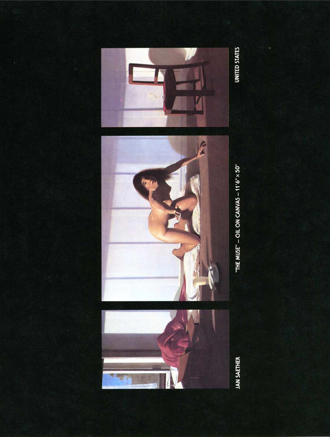